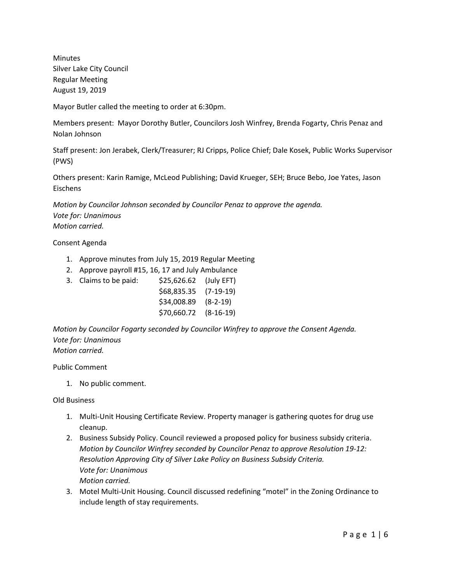Minutes Silver Lake City Council Regular Meeting August 19, 2019

Mayor Butler called the meeting to order at 6:30pm.

Members present: Mayor Dorothy Butler, Councilors Josh Winfrey, Brenda Fogarty, Chris Penaz and Nolan Johnson

Staff present: Jon Jerabek, Clerk/Treasurer; RJ Cripps, Police Chief; Dale Kosek, Public Works Supervisor (PWS)

Others present: Karin Ramige, McLeod Publishing; David Krueger, SEH; Bruce Bebo, Joe Yates, Jason Eischens

*Motion by Councilor Johnson seconded by Councilor Penaz to approve the agenda. Vote for: Unanimous Motion carried.*

#### Consent Agenda

- 1. Approve minutes from July 15, 2019 Regular Meeting
- 2. Approve payroll #15, 16, 17 and July Ambulance
- 3. Claims to be paid: \$25,626.62 (July EFT) \$68,835.35 (7-19-19) \$34,008.89 (8-2-19) \$70,660.72 (8-16-19)

*Motion by Councilor Fogarty seconded by Councilor Winfrey to approve the Consent Agenda. Vote for: Unanimous Motion carried.*

Public Comment

1. No public comment.

Old Business

- 1. Multi-Unit Housing Certificate Review. Property manager is gathering quotes for drug use cleanup.
- 2. Business Subsidy Policy. Council reviewed a proposed policy for business subsidy criteria. *Motion by Councilor Winfrey seconded by Councilor Penaz to approve Resolution 19-12: Resolution Approving City of Silver Lake Policy on Business Subsidy Criteria. Vote for: Unanimous Motion carried.*
- 3. Motel Multi-Unit Housing. Council discussed redefining "motel" in the Zoning Ordinance to include length of stay requirements.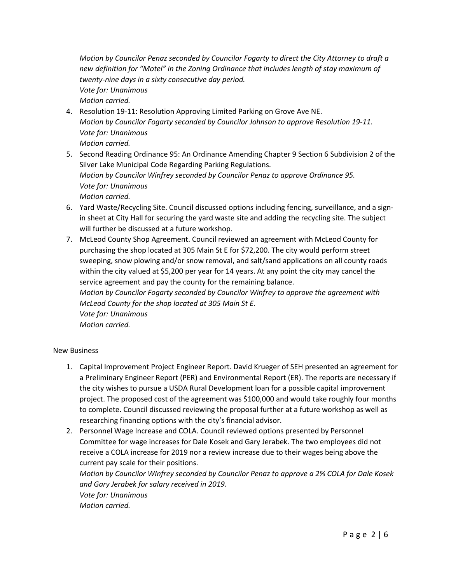*Motion by Councilor Penaz seconded by Councilor Fogarty to direct the City Attorney to draft a new definition for "Motel" in the Zoning Ordinance that includes length of stay maximum of twenty-nine days in a sixty consecutive day period. Vote for: Unanimous Motion carried.*

- 4. Resolution 19-11: Resolution Approving Limited Parking on Grove Ave NE. *Motion by Councilor Fogarty seconded by Councilor Johnson to approve Resolution 19-11. Vote for: Unanimous Motion carried.*
- 5. Second Reading Ordinance 95: An Ordinance Amending Chapter 9 Section 6 Subdivision 2 of the Silver Lake Municipal Code Regarding Parking Regulations. *Motion by Councilor Winfrey seconded by Councilor Penaz to approve Ordinance 95. Vote for: Unanimous Motion carried.*
- 6. Yard Waste/Recycling Site. Council discussed options including fencing, surveillance, and a signin sheet at City Hall for securing the yard waste site and adding the recycling site. The subject will further be discussed at a future workshop.
- 7. McLeod County Shop Agreement. Council reviewed an agreement with McLeod County for purchasing the shop located at 305 Main St E for \$72,200. The city would perform street sweeping, snow plowing and/or snow removal, and salt/sand applications on all county roads within the city valued at \$5,200 per year for 14 years. At any point the city may cancel the service agreement and pay the county for the remaining balance. *Motion by Councilor Fogarty seconded by Councilor Winfrey to approve the agreement with McLeod County for the shop located at 305 Main St E. Vote for: Unanimous*

*Motion carried.*

#### New Business

- 1. Capital Improvement Project Engineer Report. David Krueger of SEH presented an agreement for a Preliminary Engineer Report (PER) and Environmental Report (ER). The reports are necessary if the city wishes to pursue a USDA Rural Development loan for a possible capital improvement project. The proposed cost of the agreement was \$100,000 and would take roughly four months to complete. Council discussed reviewing the proposal further at a future workshop as well as researching financing options with the city's financial advisor.
- 2. Personnel Wage Increase and COLA. Council reviewed options presented by Personnel Committee for wage increases for Dale Kosek and Gary Jerabek. The two employees did not receive a COLA increase for 2019 nor a review increase due to their wages being above the current pay scale for their positions.

*Motion by Councilor WInfrey seconded by Councilor Penaz to approve a 2% COLA for Dale Kosek and Gary Jerabek for salary received in 2019. Vote for: Unanimous Motion carried.*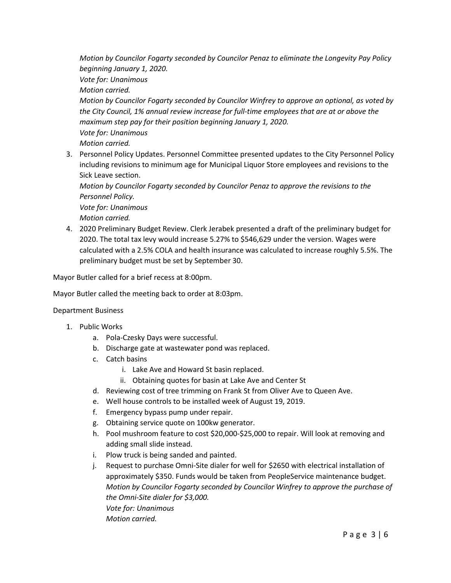*Motion by Councilor Fogarty seconded by Councilor Penaz to eliminate the Longevity Pay Policy beginning January 1, 2020.*

*Vote for: Unanimous*

*Motion carried.*

*Motion by Councilor Fogarty seconded by Councilor Winfrey to approve an optional, as voted by the City Council, 1% annual review increase for full-time employees that are at or above the maximum step pay for their position beginning January 1, 2020. Vote for: Unanimous Motion carried.* 

3. Personnel Policy Updates. Personnel Committee presented updates to the City Personnel Policy including revisions to minimum age for Municipal Liquor Store employees and revisions to the Sick Leave section.

*Motion by Councilor Fogarty seconded by Councilor Penaz to approve the revisions to the Personnel Policy.*

*Vote for: Unanimous Motion carried.*

4. 2020 Preliminary Budget Review. Clerk Jerabek presented a draft of the preliminary budget for 2020. The total tax levy would increase 5.27% to \$546,629 under the version. Wages were calculated with a 2.5% COLA and health insurance was calculated to increase roughly 5.5%. The preliminary budget must be set by September 30.

Mayor Butler called for a brief recess at 8:00pm.

Mayor Butler called the meeting back to order at 8:03pm.

#### Department Business

- 1. Public Works
	- a. Pola-Czesky Days were successful.
	- b. Discharge gate at wastewater pond was replaced.
	- c. Catch basins
		- i. Lake Ave and Howard St basin replaced.
		- ii. Obtaining quotes for basin at Lake Ave and Center St
	- d. Reviewing cost of tree trimming on Frank St from Oliver Ave to Queen Ave.
	- e. Well house controls to be installed week of August 19, 2019.
	- f. Emergency bypass pump under repair.
	- g. Obtaining service quote on 100kw generator.
	- h. Pool mushroom feature to cost \$20,000-\$25,000 to repair. Will look at removing and adding small slide instead.
	- i. Plow truck is being sanded and painted.
	- j. Request to purchase Omni-Site dialer for well for \$2650 with electrical installation of approximately \$350. Funds would be taken from PeopleService maintenance budget. *Motion by Councilor Fogarty seconded by Councilor Winfrey to approve the purchase of the Omni-Site dialer for \$3,000. Vote for: Unanimous Motion carried.*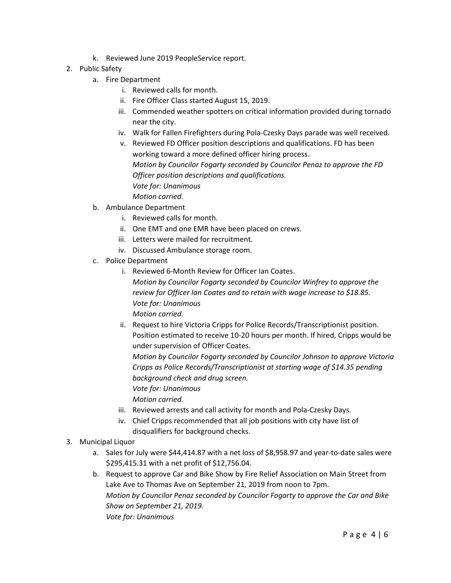- k. Reviewed June 2019 PeopleService report.
- 2. Public Safety
	- a. Fire Department
		- i. Reviewed calls for month.
		- ii. Fire Officer Class started August 15, 2019.
		- iii. Commended weather spotters on critical information provided during tornado near the city.
		- iv. Walk for Fallen Firefighters during Pola-Czesky Days parade was well received.
		- v. Reviewed FD Officer position descriptions and qualifications. FD has been working toward a more defined officer hiring process. *Motion by Councilor Fogarty seconded by Councilor Penaz to approve the FD Officer position descriptions and qualifications. Vote for: Unanimous Motion carried.*
	- b. Ambulance Department
		- i. Reviewed calls for month.
		- ii. One EMT and one EMR have been placed on crews.
		- iii. Letters were mailed for recruitment.
		- iv. Discussed Ambulance storage room.
	- c. Police Department
		- i. Reviewed 6-Month Review for Officer Ian Coates.

*Motion by Councilor Fogarty seconded by Councilor Winfrey to approve the review for Officer Ian Coates and to retain with wage increase to \$18.85. Vote for: Unanimous*

*Motion carried.*

ii. Request to hire Victoria Cripps for Police Records/Transcriptionist position. Position estimated to receive 10-20 hours per month. If hired, Cripps would be under supervision of Officer Coates.

*Motion by Councilor Fogarty seconded by Councilor Johnson to approve Victoria Cripps as Police Records/Transcriptionist at starting wage of \$14.35 pending background check and drug screen.*

*Vote for: Unanimous*

*Motion carried.*

- iii. Reviewed arrests and call activity for month and Pola-Czesky Days.
- iv. Chief Cripps recommended that all job positions with city have list of disqualifiers for background checks.
- 3. Municipal Liquor
	- a. Sales for July were \$44,414.87 with a net loss of \$8,958.97 and year-to-date sales were \$295,415.31 with a net profit of \$12,756.04.
	- b. Request to approve Car and Bike Show by Fire Relief Association on Main Street from Lake Ave to Thomas Ave on September 21, 2019 from noon to 7pm. *Motion by Councilor Penaz seconded by Councilor Fogarty to approve the Car and Bike Show on September 21, 2019. Vote for: Unanimous*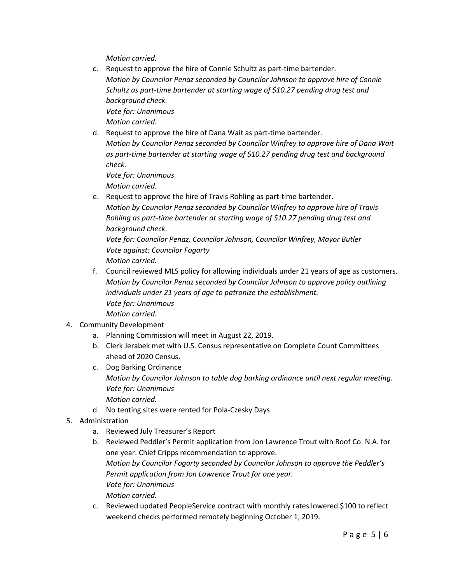*Motion carried.*

c. Request to approve the hire of Connie Schultz as part-time bartender. *Motion by Councilor Penaz seconded by Councilor Johnson to approve hire of Connie Schultz as part-time bartender at starting wage of \$10.27 pending drug test and background check. Vote for: Unanimous*

*Motion carried.*

d. Request to approve the hire of Dana Wait as part-time bartender. *Motion by Councilor Penaz seconded by Councilor Winfrey to approve hire of Dana Wait*

*as part-time bartender at starting wage of \$10.27 pending drug test and background check.*

*Vote for: Unanimous*

*Motion carried.*

e. Request to approve the hire of Travis Rohling as part-time bartender. *Motion by Councilor Penaz seconded by Councilor Winfrey to approve hire of Travis Rohling as part-time bartender at starting wage of \$10.27 pending drug test and background check.*

*Vote for: Councilor Penaz, Councilor Johnson, Councilor Winfrey, Mayor Butler Vote against: Councilor Fogarty Motion carried.*

- f. Council reviewed MLS policy for allowing individuals under 21 years of age as customers. *Motion by Councilor Penaz seconded by Councilor Johnson to approve policy outlining individuals under 21 years of age to patronize the establishment. Vote for: Unanimous Motion carried.*
- 4. Community Development
	- a. Planning Commission will meet in August 22, 2019.
	- b. Clerk Jerabek met with U.S. Census representative on Complete Count Committees ahead of 2020 Census.
	- c. Dog Barking Ordinance *Motion by Councilor Johnson to table dog barking ordinance until next regular meeting. Vote for: Unanimous Motion carried.*
	- d. No tenting sites were rented for Pola-Czesky Days.
- 5. Administration
	- a. Reviewed July Treasurer's Report
	- b. Reviewed Peddler's Permit application from Jon Lawrence Trout with Roof Co. N.A. for one year. Chief Cripps recommendation to approve. *Motion by Councilor Fogarty seconded by Councilor Johnson to approve the Peddler's Permit application from Jon Lawrence Trout for one year. Vote for: Unanimous Motion carried.*
	- c. Reviewed updated PeopleService contract with monthly rates lowered \$100 to reflect weekend checks performed remotely beginning October 1, 2019.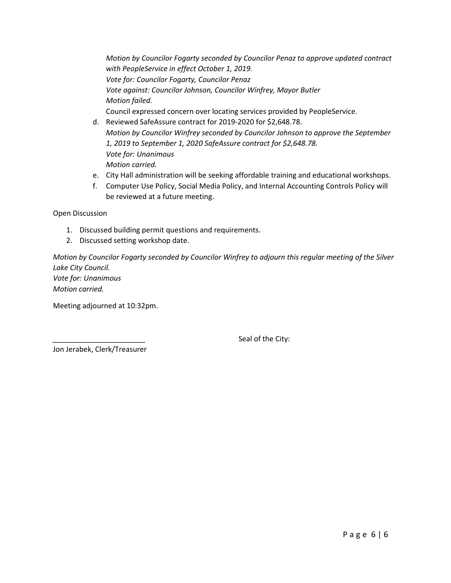*Motion by Councilor Fogarty seconded by Councilor Penaz to approve updated contract with PeopleService in effect October 1, 2019. Vote for: Councilor Fogarty, Councilor Penaz Vote against: Councilor Johnson, Councilor Winfrey, Mayor Butler Motion failed.* Council expressed concern over locating services provided by PeopleService.

- d. Reviewed SafeAssure contract for 2019-2020 for \$2,648.78. *Motion by Councilor Winfrey seconded by Councilor Johnson to approve the September 1, 2019 to September 1, 2020 SafeAssure contract for \$2,648.78. Vote for: Unanimous Motion carried.*
- e. City Hall administration will be seeking affordable training and educational workshops.
- f. Computer Use Policy, Social Media Policy, and Internal Accounting Controls Policy will be reviewed at a future meeting.

Open Discussion

- 1. Discussed building permit questions and requirements.
- 2. Discussed setting workshop date.

*Motion by Councilor Fogarty seconded by Councilor Winfrey to adjourn this regular meeting of the Silver Lake City Council. Vote for: Unanimous Motion carried.*

Meeting adjourned at 10:32pm.

Seal of the City:

Jon Jerabek, Clerk/Treasurer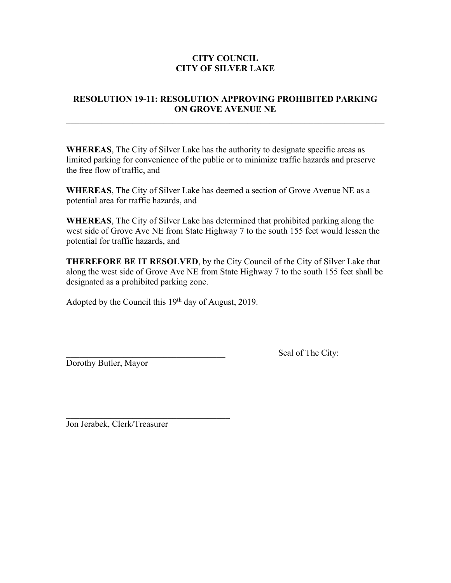# **CITY COUNCIL CITY OF SILVER LAKE**

# **RESOLUTION 19-11: RESOLUTION APPROVING PROHIBITED PARKING ON GROVE AVENUE NE**

 $\mathcal{L}_\text{max} = \mathcal{L}_\text{max} = \mathcal{L}_\text{max} = \mathcal{L}_\text{max} = \mathcal{L}_\text{max} = \mathcal{L}_\text{max} = \mathcal{L}_\text{max} = \mathcal{L}_\text{max} = \mathcal{L}_\text{max} = \mathcal{L}_\text{max} = \mathcal{L}_\text{max} = \mathcal{L}_\text{max} = \mathcal{L}_\text{max} = \mathcal{L}_\text{max} = \mathcal{L}_\text{max} = \mathcal{L}_\text{max} = \mathcal{L}_\text{max} = \mathcal{L}_\text{max} = \mathcal{$ 

**WHEREAS**, The City of Silver Lake has the authority to designate specific areas as limited parking for convenience of the public or to minimize traffic hazards and preserve the free flow of traffic, and

**WHEREAS**, The City of Silver Lake has deemed a section of Grove Avenue NE as a potential area for traffic hazards, and

**WHEREAS**, The City of Silver Lake has determined that prohibited parking along the west side of Grove Ave NE from State Highway 7 to the south 155 feet would lessen the potential for traffic hazards, and

**THEREFORE BE IT RESOLVED**, by the City Council of the City of Silver Lake that along the west side of Grove Ave NE from State Highway 7 to the south 155 feet shall be designated as a prohibited parking zone.

Adopted by the Council this  $19<sup>th</sup>$  day of August, 2019.

Dorothy Butler, Mayor

Seal of The City:

\_\_\_\_\_\_\_\_\_\_\_\_\_\_\_\_\_\_\_\_\_\_\_\_\_\_\_\_\_\_\_\_\_\_\_\_\_ Jon Jerabek, Clerk/Treasurer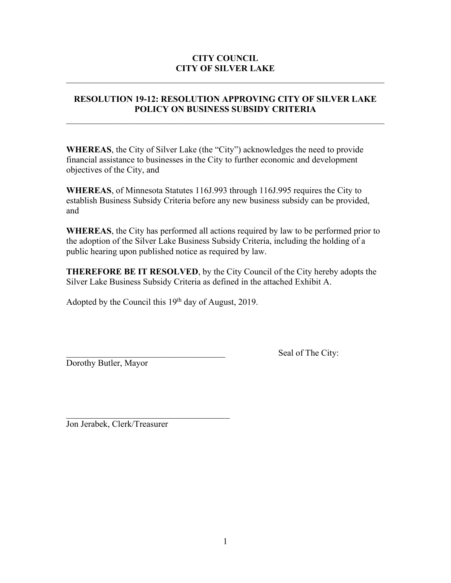# **CITY COUNCIL CITY OF SILVER LAKE**

# **RESOLUTION 19-12: RESOLUTION APPROVING CITY OF SILVER LAKE POLICY ON BUSINESS SUBSIDY CRITERIA**

 $\mathcal{L}_\text{max} = \mathcal{L}_\text{max} = \mathcal{L}_\text{max} = \mathcal{L}_\text{max} = \mathcal{L}_\text{max} = \mathcal{L}_\text{max} = \mathcal{L}_\text{max} = \mathcal{L}_\text{max} = \mathcal{L}_\text{max} = \mathcal{L}_\text{max} = \mathcal{L}_\text{max} = \mathcal{L}_\text{max} = \mathcal{L}_\text{max} = \mathcal{L}_\text{max} = \mathcal{L}_\text{max} = \mathcal{L}_\text{max} = \mathcal{L}_\text{max} = \mathcal{L}_\text{max} = \mathcal{$ 

**WHEREAS**, the City of Silver Lake (the "City") acknowledges the need to provide financial assistance to businesses in the City to further economic and development objectives of the City, and

**WHEREAS**, of Minnesota Statutes 116J.993 through 116J.995 requires the City to establish Business Subsidy Criteria before any new business subsidy can be provided, and

**WHEREAS**, the City has performed all actions required by law to be performed prior to the adoption of the Silver Lake Business Subsidy Criteria, including the holding of a public hearing upon published notice as required by law.

**THEREFORE BE IT RESOLVED**, by the City Council of the City hereby adopts the Silver Lake Business Subsidy Criteria as defined in the attached Exhibit A.

Adopted by the Council this  $19<sup>th</sup>$  day of August, 2019.

Dorothy Butler, Mayor

Seal of The City:

\_\_\_\_\_\_\_\_\_\_\_\_\_\_\_\_\_\_\_\_\_\_\_\_\_\_\_\_\_\_\_\_\_\_\_\_\_ Jon Jerabek, Clerk/Treasurer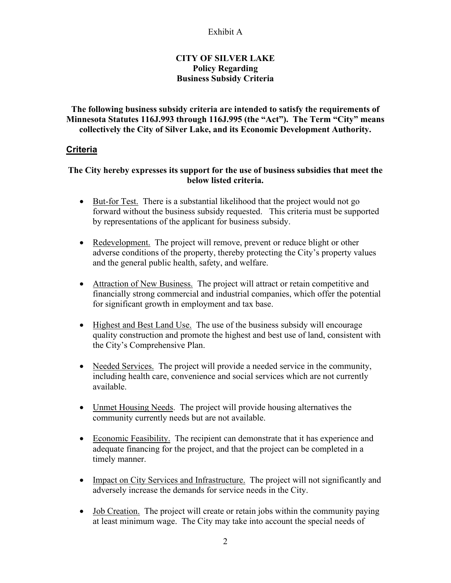### Exhibit A

## **CITY OF SILVER LAKE Policy Regarding Business Subsidy Criteria**

**The following business subsidy criteria are intended to satisfy the requirements of Minnesota Statutes 116J.993 through 116J.995 (the "Act"). The Term "City" means collectively the City of Silver Lake, and its Economic Development Authority.**

### **Criteria**

### **The City hereby expresses its support for the use of business subsidies that meet the below listed criteria.**

- But-for Test. There is a substantial likelihood that the project would not go forward without the business subsidy requested. This criteria must be supported by representations of the applicant for business subsidy.
- Redevelopment. The project will remove, prevent or reduce blight or other adverse conditions of the property, thereby protecting the City's property values and the general public health, safety, and welfare.
- Attraction of New Business. The project will attract or retain competitive and financially strong commercial and industrial companies, which offer the potential for significant growth in employment and tax base.
- Highest and Best Land Use. The use of the business subsidy will encourage quality construction and promote the highest and best use of land, consistent with the City's Comprehensive Plan.
- Needed Services. The project will provide a needed service in the community, including health care, convenience and social services which are not currently available.
- Unmet Housing Needs. The project will provide housing alternatives the community currently needs but are not available.
- Economic Feasibility. The recipient can demonstrate that it has experience and adequate financing for the project, and that the project can be completed in a timely manner.
- Impact on City Services and Infrastructure. The project will not significantly and adversely increase the demands for service needs in the City.
- Job Creation. The project will create or retain jobs within the community paying at least minimum wage. The City may take into account the special needs of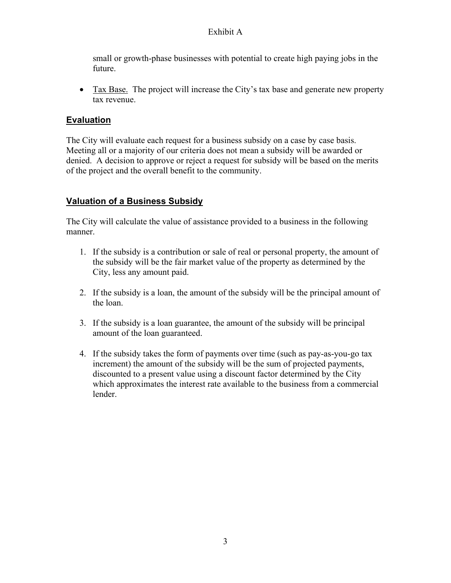# Exhibit A

small or growth-phase businesses with potential to create high paying jobs in the future.

• Tax Base. The project will increase the City's tax base and generate new property tax revenue.

# **Evaluation**

The City will evaluate each request for a business subsidy on a case by case basis. Meeting all or a majority of our criteria does not mean a subsidy will be awarded or denied. A decision to approve or reject a request for subsidy will be based on the merits of the project and the overall benefit to the community.

# **Valuation of a Business Subsidy**

The City will calculate the value of assistance provided to a business in the following manner.

- 1. If the subsidy is a contribution or sale of real or personal property, the amount of the subsidy will be the fair market value of the property as determined by the City, less any amount paid.
- 2. If the subsidy is a loan, the amount of the subsidy will be the principal amount of the loan.
- 3. If the subsidy is a loan guarantee, the amount of the subsidy will be principal amount of the loan guaranteed.
- 4. If the subsidy takes the form of payments over time (such as pay-as-you-go tax increment) the amount of the subsidy will be the sum of projected payments, discounted to a present value using a discount factor determined by the City which approximates the interest rate available to the business from a commercial lender.